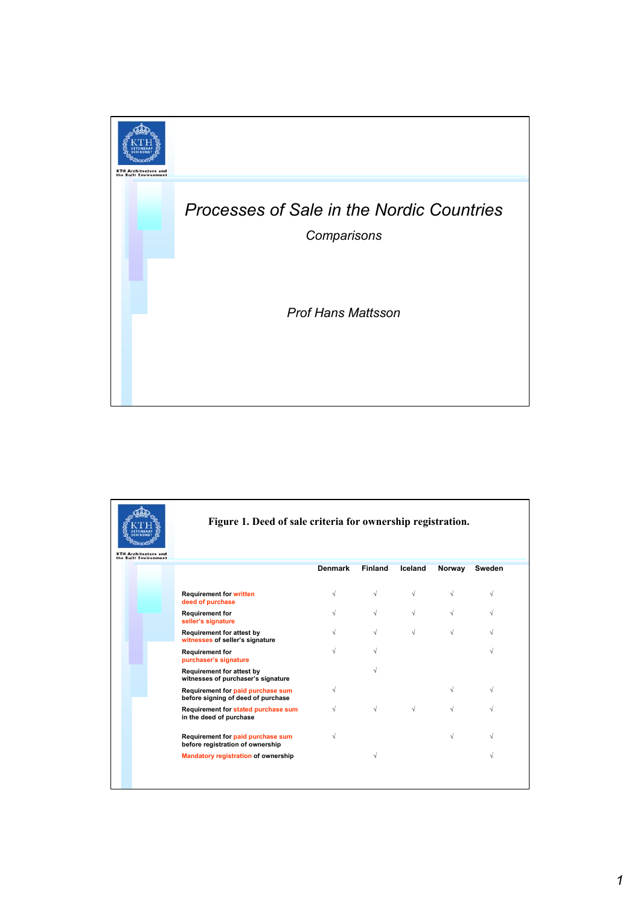

| <b>KTH Architecture and</b> | Figure 1. Deed of sale criteria for ownership registration.             |                |                |            |           |        |
|-----------------------------|-------------------------------------------------------------------------|----------------|----------------|------------|-----------|--------|
| the Built Environment       |                                                                         | <b>Denmark</b> | <b>Finland</b> | Iceland    | Norway    | Sweden |
|                             | <b>Requirement for written</b><br>deed of purchase                      |                | $\sqrt{}$      | $\sqrt{ }$ | V         | ν      |
|                             | <b>Requirement for</b><br>seller's signature                            |                | $\sqrt{}$      | √          | $\sqrt{}$ |        |
|                             | <b>Requirement for attest by</b><br>witnesses of seller's signature     |                | $\sqrt{}$      | $\sqrt{}$  | $\sqrt{}$ |        |
|                             | <b>Requirement for</b><br>purchaser's signature                         |                | V              |            |           |        |
|                             | Requirement for attest by<br>witnesses of purchaser's signature         |                |                |            |           |        |
|                             | Requirement for paid purchase sum<br>before signing of deed of purchase |                |                |            |           |        |
|                             | Requirement for stated purchase sum<br>in the deed of purchase          |                | $\sqrt{}$      |            |           |        |
|                             | Requirement for paid purchase sum<br>before registration of ownership   |                |                |            |           |        |
|                             | <b>Mandatory registration of ownership</b>                              |                | $\sqrt{}$      |            |           |        |
|                             |                                                                         |                |                |            |           |        |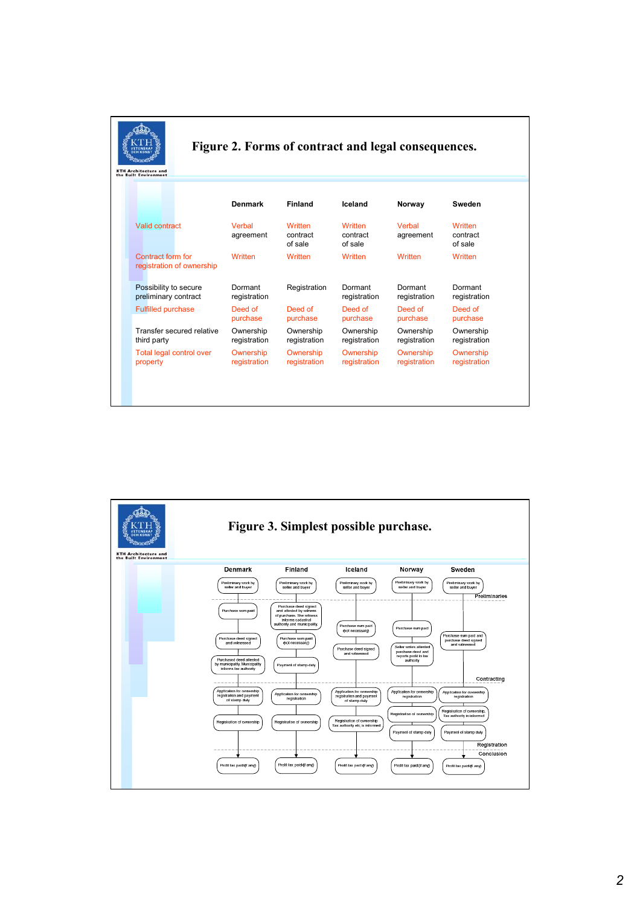| Figure 2. Forms of contract and legal consequences.<br><b>KTH Architecture and</b><br>the Built Environment |                     |                                |                                |                     |                                |  |  |  |
|-------------------------------------------------------------------------------------------------------------|---------------------|--------------------------------|--------------------------------|---------------------|--------------------------------|--|--|--|
|                                                                                                             | <b>Denmark</b>      | <b>Finland</b>                 | Iceland                        | Norway              | Sweden                         |  |  |  |
| Valid contract                                                                                              | Verhal<br>agreement | Written<br>contract<br>of sale | Written<br>contract<br>of sale | Verhal<br>agreement | Written<br>contract<br>of sale |  |  |  |
| Contract form for<br>registration of ownership                                                              | Written             | Written                        | Written                        | Written             | Written                        |  |  |  |
| Possibility to secure                                                                                       | Dormant             | Registration                   | Dormant                        | Dormant             | Dormant                        |  |  |  |
| preliminary contract                                                                                        | registration        |                                | registration                   | registration        | registration                   |  |  |  |
| <b>Fulfilled purchase</b>                                                                                   | Deed of             | Deed of                        | Deed of                        | Deed of             | Deed of                        |  |  |  |
|                                                                                                             | purchase            | purchase                       | purchase                       | purchase            | purchase                       |  |  |  |
| Transfer secured relative                                                                                   | Ownership           | Ownership                      | Ownership                      | Ownership           | Ownership                      |  |  |  |
| third party                                                                                                 | registration        | registration                   | registration                   | registration        | registration                   |  |  |  |
| Total legal control over                                                                                    | Ownership           | Ownership                      | Ownership                      | Ownership           | Ownership                      |  |  |  |
| property                                                                                                    | registration        | registration                   | registration                   | registration        | registration                   |  |  |  |

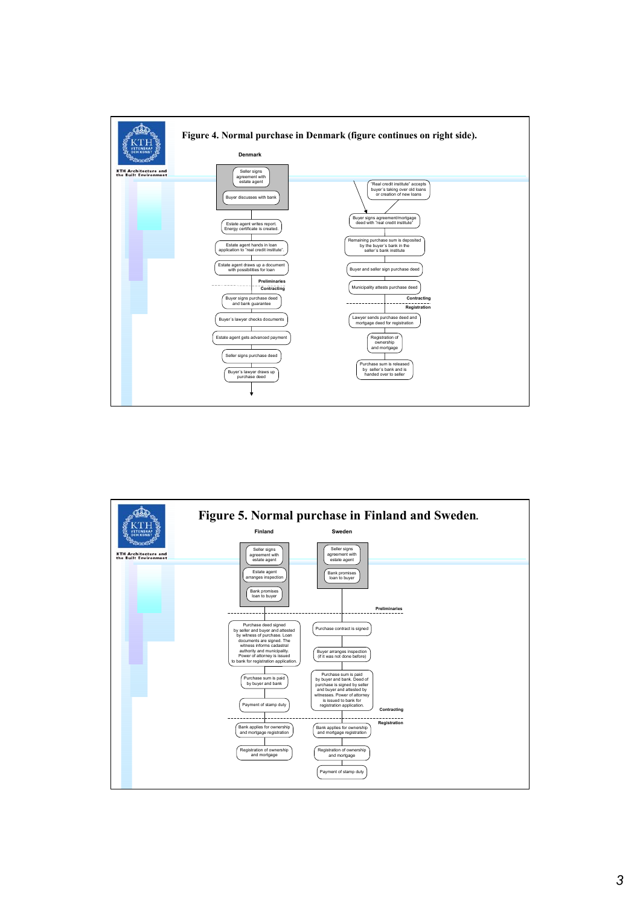